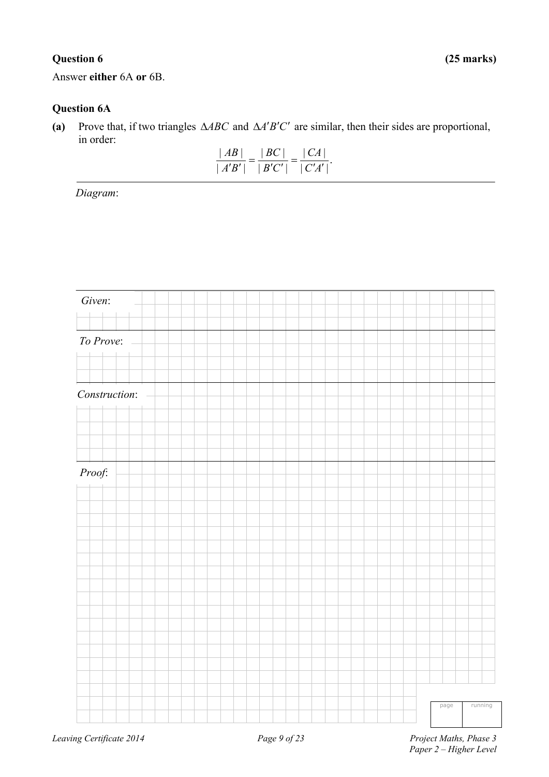Answer **either** 6A **or** 6B.

### **Question 6A**

(a) Prove that, if two triangles  $\triangle ABC$  and  $\triangle A'B'C'$  are similar, then their sides are proportional, in order:

| AB   | BC           | $\lfloor CA \rfloor$ |
|------|--------------|----------------------|
| A'B' | $\perp$ B'C' | C'A'                 |

*Diagram*:

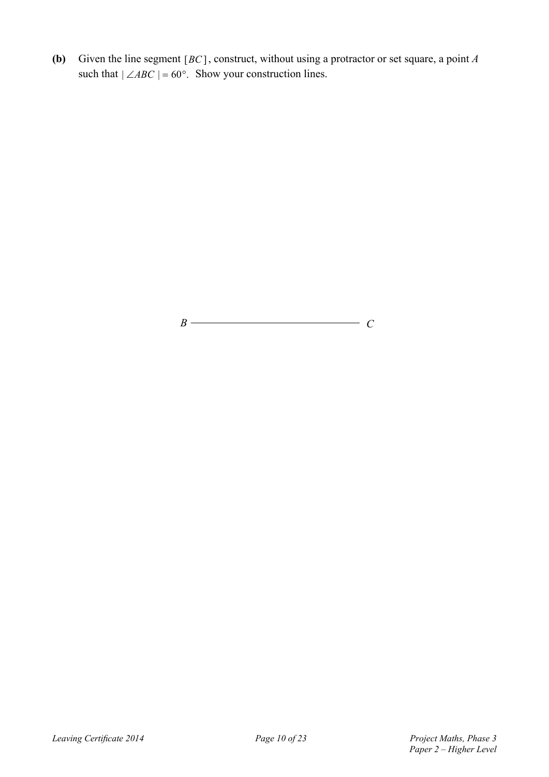**(b)** Given the line segment [*BC*], construct, without using a protractor or set square, a point *A* such that  $| \angle ABC | = 60^\circ$ . Show your construction lines.

 $B \longrightarrow C$